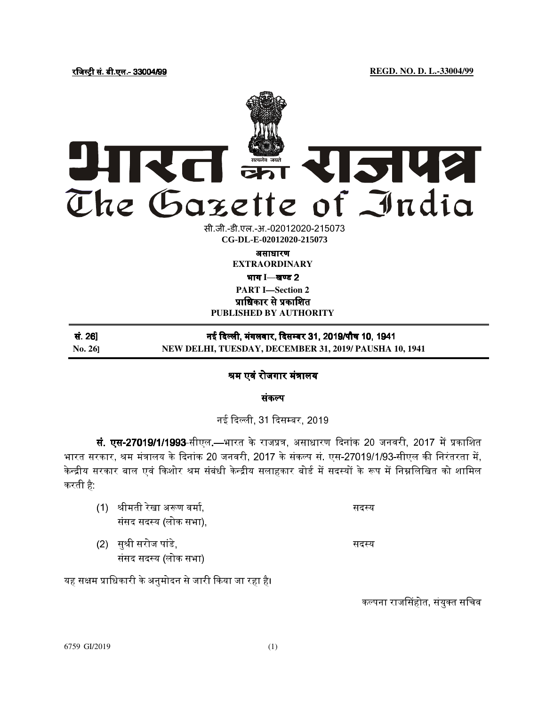# अपरत इंग राजपत्र The Gazette of India

सी.जी.-डी.एल.-अ.-02012020-2150<mark>7</mark>3 **xxxGIDExxx CG-DL-E-02012020-215073**

असाधारण

**EXTRAORDINARY** 

## भाग I—खण्ड 2

**PART I—Section 2** प्राधिकार से प्रकाशित

**PUBLISHED BY AUTHORITY**

| सं. 26]        | नई दिल्ली, मंगलवार, दिसम्बर 31, 2019/पौष 10, 1941      |
|----------------|--------------------------------------------------------|
| <b>No. 261</b> | NEW DELHI, TUESDAY, DECEMBER 31, 2019/ PAUSHA 10, 1941 |

# श्रम एवं रोजगार मंत्रालय

संकप

## नई दली, 31 दसबर, 2019

**सं. एस-27019/1/1993-**सीएल.—भारत के राजप्रत्र, असाधारण दिनांक 20 जनवरी, 2017 में प्रकाशित भारत सरकार, श्रम मंत्रालय के दिनांक 20 जनवरी, 2017 के संकल्प सं. एस-27019/1/93-सीएल की निरंतरता में, केन्द्रीय सरकार बाल एवं किशोर श्रम संबंधी केन्द्रीय सलाहकार बोर्ड में सदस्यों के रूप में निम्नलिखित को शामिल करती है:

| (1) श्रीमती रेखा अरूण वर्मा, | सदस्य |
|------------------------------|-------|
| संसद सदस्य (लोक सभा),        |       |
| (2) सुश्री सरोज पांडे,       | सदस्य |

संसद सदय (लोक सभा)

यह सक्षम प्राधिकारी के अनुमोदन से जारी किया जा रहा है।

कल्पना राजसिंहोत, संयुक्त सचिव

6759 GI/2019 (1)